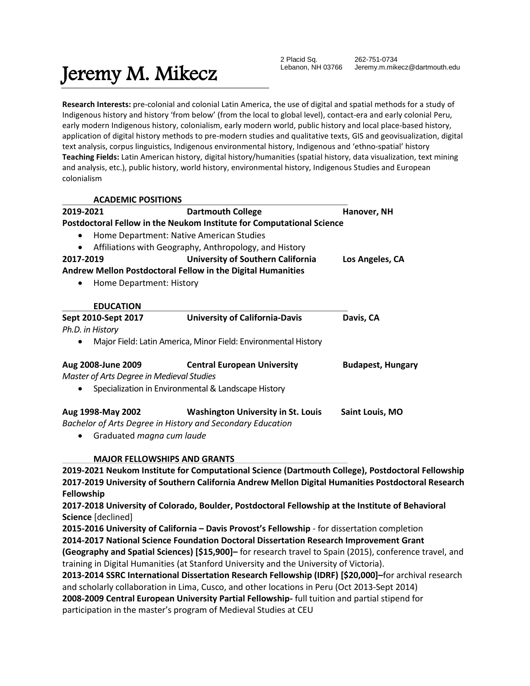# Jeremy M. Mikecz

2 Placid Sq. Lebanon, NH 03766 262-751-0734 Jeremy.m.mikecz@dartmouth.edu

**Research Interests:** pre-colonial and colonial Latin America, the use of digital and spatial methods for a study of Indigenous history and history 'from below' (from the local to global level), contact-era and early colonial Peru, early modern Indigenous history, colonialism, early modern world, public history and local place-based history, application of digital history methods to pre-modern studies and qualitative texts, GIS and geovisualization, digital text analysis, corpus linguistics, Indigenous environmental history, Indigenous and 'ethno-spatial' history **Teaching Fields:** Latin American history, digital history/humanities (spatial history, data visualization, text mining and analysis, etc.), public history, world history, environmental history, Indigenous Studies and European colonialism

**ACADEMIC POSITIONS**

| 2019-2021                                                                                                                                                                                                                      | <b>Dartmouth College</b>                                              | Hanover, NH              |
|--------------------------------------------------------------------------------------------------------------------------------------------------------------------------------------------------------------------------------|-----------------------------------------------------------------------|--------------------------|
|                                                                                                                                                                                                                                | Postdoctoral Fellow in the Neukom Institute for Computational Science |                          |
| $\bullet$                                                                                                                                                                                                                      | Home Department: Native American Studies                              |                          |
|                                                                                                                                                                                                                                | Affiliations with Geography, Anthropology, and History                |                          |
| 2017-2019                                                                                                                                                                                                                      | <b>University of Southern California</b>                              | Los Angeles, CA          |
|                                                                                                                                                                                                                                | Andrew Mellon Postdoctoral Fellow in the Digital Humanities           |                          |
| Home Department: History<br>$\bullet$                                                                                                                                                                                          |                                                                       |                          |
| <b>EDUCATION</b>                                                                                                                                                                                                               |                                                                       |                          |
| Sept 2010-Sept 2017                                                                                                                                                                                                            | <b>University of California-Davis</b>                                 | Davis, CA                |
| Ph.D. in History                                                                                                                                                                                                               |                                                                       |                          |
|                                                                                                                                                                                                                                | Major Field: Latin America, Minor Field: Environmental History        |                          |
| Aug 2008-June 2009                                                                                                                                                                                                             | <b>Central European University</b>                                    | <b>Budapest, Hungary</b> |
| Master of Arts Degree in Medieval Studies                                                                                                                                                                                      |                                                                       |                          |
|                                                                                                                                                                                                                                | Specialization in Environmental & Landscape History                   |                          |
| Aug 1998-May 2002                                                                                                                                                                                                              | <b>Washington University in St. Louis</b>                             | Saint Louis, MO          |
|                                                                                                                                                                                                                                | Bachelor of Arts Degree in History and Secondary Education            |                          |
| and the contract of the contract of the contract of the contract of the contract of the contract of the contract of the contract of the contract of the contract of the contract of the contract of the contract of the contra |                                                                       |                          |

Graduated *magna cum laude*

## **MAJOR FELLOWSHIPS AND GRANTS**

**2019-2021 Neukom Institute for Computational Science (Dartmouth College), Postdoctoral Fellowship 2017-2019 University of Southern California Andrew Mellon Digital Humanities Postdoctoral Research Fellowship**

**2017-2018 University of Colorado, Boulder, Postdoctoral Fellowship at the Institute of Behavioral Science** [declined]

**2015-2016 University of California – Davis Provost's Fellowship** - for dissertation completion **2014-2017 National Science Foundation Doctoral Dissertation Research Improvement Grant (Geography and Spatial Sciences) [\$15,900]–** for research travel to Spain (2015), conference travel, and training in Digital Humanities (at Stanford University and the University of Victoria).

**2013-2014 SSRC International Dissertation Research Fellowship (IDRF) [\$20,000]–**for archival research and scholarly collaboration in Lima, Cusco, and other locations in Peru (Oct 2013-Sept 2014) **2008-2009 Central European University Partial Fellowship-** full tuition and partial stipend for participation in the master's program of Medieval Studies at CEU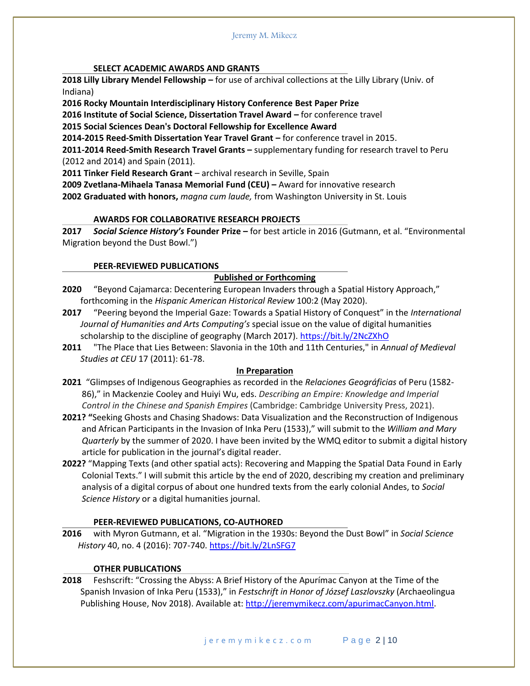#### **SELECT ACADEMIC AWARDS AND GRANTS**

**2018 Lilly Library Mendel Fellowship –** for use of archival collections at the Lilly Library (Univ. of Indiana)

**2016 Rocky Mountain Interdisciplinary History Conference Best Paper Prize**

**2016 Institute of Social Science, Dissertation Travel Award –** for conference travel

**2015 Social Sciences Dean's Doctoral Fellowship for Excellence Award**

**2014-2015 Reed-Smith Dissertation Year Travel Grant –** for conference travel in 2015.

**2011-2014 Reed-Smith Research Travel Grants –** supplementary funding for research travel to Peru (2012 and 2014) and Spain (2011).

**2011 Tinker Field Research Grant** *–* archival research in Seville, Spain

**2009 Zvetlana-Mihaela Tanasa Memorial Fund (CEU) –** Award for innovative research **2002 Graduated with honors,** *magna cum laude,* from Washington University in St. Louis

#### **AWARDS FOR COLLABORATIVE RESEARCH PROJECTS**

**2017** *Social Science History's* **Founder Prize –** for best article in 2016 (Gutmann, et al. "Environmental Migration beyond the Dust Bowl.")

## **PEER-REVIEWED PUBLICATIONS**

## **Published or Forthcoming**

- **2020** "Beyond Cajamarca: Decentering European Invaders through a Spatial History Approach," forthcoming in the *Hispanic American Historical Review* 100:2 (May 2020).
- **2017** "Peering beyond the Imperial Gaze: Towards a Spatial History of Conquest" in the *International Journal of Humanities and Arts Computing's* special issue on the value of digital humanities scholarship to the discipline of geography (March 2017).<https://bit.ly/2NcZXhO>
- **2011** "The Place that Lies Between: Slavonia in the 10th and 11th Centuries," in *Annual of Medieval Studies at CEU* 17 (2011): 61-78.

#### **In Preparation**

- **2021** "Glimpses of Indigenous Geographies as recorded in the *Relaciones Geográficias* of Peru (1582- 86)," in Mackenzie Cooley and Huiyi Wu, eds. *Describing an Empire: Knowledge and Imperial Control in the Chinese and Spanish Empires* (Cambridge: Cambridge University Press, 2021).
- **2021? "**Seeking Ghosts and Chasing Shadows: Data Visualization and the Reconstruction of Indigenous and African Participants in the Invasion of Inka Peru (1533)," will submit to the *William and Mary Quarterly* by the summer of 2020. I have been invited by the WMQ editor to submit a digital history article for publication in the journal's digital reader.
- **2022?** "Mapping Texts (and other spatial acts): Recovering and Mapping the Spatial Data Found in Early Colonial Texts." I will submit this article by the end of 2020, describing my creation and preliminary analysis of a digital corpus of about one hundred texts from the early colonial Andes, to *Social Science History* or a digital humanities journal.

#### **PEER-REVIEWED PUBLICATIONS, CO-AUTHORED**

**2016** with Myron Gutmann, et al. "Migration in the 1930s: Beyond the Dust Bowl" in *Social Science History* 40, no. 4 (2016): 707-740.<https://bit.ly/2LnSFG7>

## **OTHER PUBLICATIONS**

**2018** Feshscrift: "Crossing the Abyss: A Brief History of the Apurímac Canyon at the Time of the Spanish Invasion of Inka Peru (1533)," in *Festschrift in Honor of József Laszlovszky* (Archaeolingua Publishing House, Nov 2018). Available at[: http://jeremymikecz.com/apurimacCanyon.html.](http://jeremymikecz.com/apurimacCanyon.html)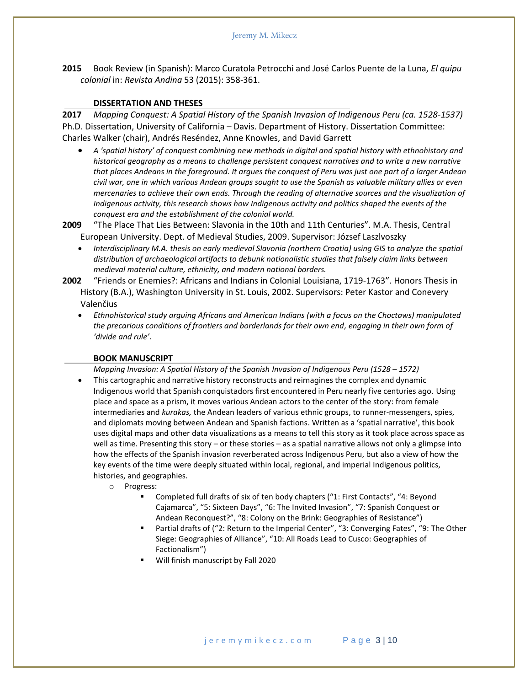**2015** Book Review (in Spanish): Marco Curatola Petrocchi and José Carlos Puente de la Luna, *El quipu colonial* in: *Revista Andina* 53 (2015): 358-361.

#### **DISSERTATION AND THESES**

**2017** *Mapping Conquest: A Spatial History of the Spanish Invasion of Indigenous Peru (ca. 1528-1537)*  Ph.D. Dissertation, University of California – Davis. Department of History. Dissertation Committee: Charles Walker (chair), Andrés Reséndez, Anne Knowles, and David Garrett

 *A 'spatial history' of conquest combining new methods in digital and spatial history with ethnohistory and historical geography as a means to challenge persistent conquest narratives and to write a new narrative that places Andeans in the foreground. It argues the conquest of Peru was just one part of a larger Andean civil war, one in which various Andean groups sought to use the Spanish as valuable military allies or even mercenaries to achieve their own ends. Through the reading of alternative sources and the visualization of Indigenous activity, this research shows how Indigenous activity and politics shaped the events of the conquest era and the establishment of the colonial world.*

**2009** "The Place That Lies Between: Slavonia in the 10th and 11th Centuries". M.A. Thesis, Central European University. Dept. of Medieval Studies, 2009. Supervisor: József Laszlvoszky

- *Interdisciplinary M.A. thesis on early medieval Slavonia (northern Croatia) using GIS to analyze the spatial distribution of archaeological artifacts to debunk nationalistic studies that falsely claim links between medieval material culture, ethnicity, and modern national borders.*
- **2002** "Friends or Enemies?: Africans and Indians in Colonial Louisiana, 1719-1763". Honors Thesis in History (B.A.), Washington University in St. Louis, 2002. Supervisors: Peter Kastor and Conevery Valenčius
	- *Ethnohistorical study arguing Africans and American Indians (with a focus on the Choctaws) manipulated the precarious conditions of frontiers and borderlands for their own end, engaging in their own form of 'divide and rule'.*

#### **BOOK MANUSCRIPT**

*Mapping Invasion: A Spatial History of the Spanish Invasion of Indigenous Peru (1528 - 1572)* 

- This cartographic and narrative history reconstructs and reimagines the complex and dynamic Indigenous world that Spanish conquistadors first encountered in Peru nearly five centuries ago. Using place and space as a prism, it moves various Andean actors to the center of the story: from female intermediaries and *kurakas,* the Andean leaders of various ethnic groups, to runner-messengers, spies, and diplomats moving between Andean and Spanish factions. Written as a 'spatial narrative', this book uses digital maps and other data visualizations as a means to tell this story as it took place across space as well as time. Presenting this story – or these stories – as a spatial narrative allows not only a glimpse into how the effects of the Spanish invasion reverberated across Indigenous Peru, but also a view of how the key events of the time were deeply situated within local, regional, and imperial Indigenous politics, histories, and geographies.
	- o Progress:
		- Completed full drafts of six of ten body chapters ("1: First Contacts", "4: Beyond Cajamarca", "5: Sixteen Days", "6: The Invited Invasion", "7: Spanish Conquest or Andean Reconquest?", "8: Colony on the Brink: Geographies of Resistance")
		- Partial drafts of ("2: Return to the Imperial Center", "3: Converging Fates", "9: The Other Siege: Geographies of Alliance", "10: All Roads Lead to Cusco: Geographies of Factionalism")
		- Will finish manuscript by Fall 2020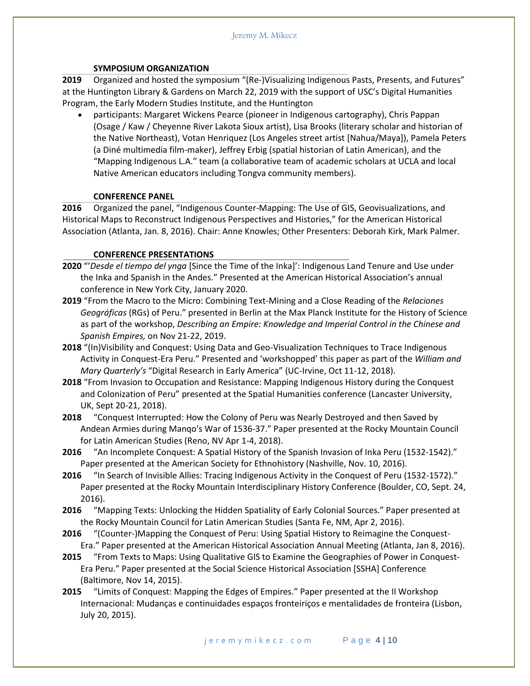#### **SYMPOSIUM ORGANIZATION**

**2019** Organized and hosted the symposium "(Re-)Visualizing Indigenous Pasts, Presents, and Futures" at the Huntington Library & Gardens on March 22, 2019 with the support of USC's Digital Humanities Program, the Early Modern Studies Institute, and the Huntington

 participants: Margaret Wickens Pearce (pioneer in Indigenous cartography), Chris Pappan (Osage / Kaw / Cheyenne River Lakota Sioux artist), Lisa Brooks (literary scholar and historian of the Native Northeast), Votan Henriquez (Los Angeles street artist [Nahua/Maya]), Pamela Peters (a Diné multimedia film-maker), Jeffrey Erbig (spatial historian of Latin American), and the "Mapping Indigenous L.A." team (a collaborative team of academic scholars at UCLA and local Native American educators including Tongva community members).

## **CONFERENCE PANEL**

**2016** Organized the panel, "Indigenous Counter-Mapping: The Use of GIS, Geovisualizations, and Historical Maps to Reconstruct Indigenous Perspectives and Histories," for the American Historical Association (Atlanta, Jan. 8, 2016). Chair: Anne Knowles; Other Presenters: Deborah Kirk, Mark Palmer.

## **CONFERENCE PRESENTATIONS**

- **2020** "'*Desde el tiempo del ynga* [Since the Time of the Inka]': Indigenous Land Tenure and Use under the Inka and Spanish in the Andes." Presented at the American Historical Association's annual conference in New York City, January 2020.
- **2019** "From the Macro to the Micro: Combining Text-Mining and a Close Reading of the *Relaciones Geográficas* (RGs) of Peru." presented in Berlin at the Max Planck Institute for the History of Science as part of the workshop, *Describing an Empire: Knowledge and Imperial Control in the Chinese and Spanish Empires,* on Nov 21-22, 2019.
- **2018** "(In)Visibility and Conquest: Using Data and Geo-Visualization Techniques to Trace Indigenous Activity in Conquest-Era Peru." Presented and 'workshopped' this paper as part of the *William and Mary Quarterly's* "Digital Research in Early America" (UC-Irvine, Oct 11-12, 2018).
- **2018** "From Invasion to Occupation and Resistance: Mapping Indigenous History during the Conquest and Colonization of Peru" presented at the Spatial Humanities conference (Lancaster University, UK, Sept 20-21, 2018).
- **2018** "Conquest Interrupted: How the Colony of Peru was Nearly Destroyed and then Saved by Andean Armies during Manqo's War of 1536-37." Paper presented at the Rocky Mountain Council for Latin American Studies (Reno, NV Apr 1-4, 2018).
- **2016** "An Incomplete Conquest: A Spatial History of the Spanish Invasion of Inka Peru (1532-1542)." Paper presented at the American Society for Ethnohistory (Nashville, Nov. 10, 2016).
- **2016** "In Search of Invisible Allies: Tracing Indigenous Activity in the Conquest of Peru (1532-1572)." Paper presented at the Rocky Mountain Interdisciplinary History Conference (Boulder, CO, Sept. 24, 2016).
- **2016** "Mapping Texts: Unlocking the Hidden Spatiality of Early Colonial Sources." Paper presented at the Rocky Mountain Council for Latin American Studies (Santa Fe, NM, Apr 2, 2016).
- **2016** "(Counter-)Mapping the Conquest of Peru: Using Spatial History to Reimagine the Conquest-Era." Paper presented at the American Historical Association Annual Meeting (Atlanta, Jan 8, 2016).
- **2015** "From Texts to Maps: Using Qualitative GIS to Examine the Geographies of Power in Conquest-Era Peru." Paper presented at the Social Science Historical Association [SSHA] Conference (Baltimore, Nov 14, 2015).
- **2015** "Limits of Conquest: Mapping the Edges of Empires." Paper presented at the II Workshop Internacional: Mudanças e continuidades espaços fronteiriços e mentalidades de fronteira (Lisbon, July 20, 2015).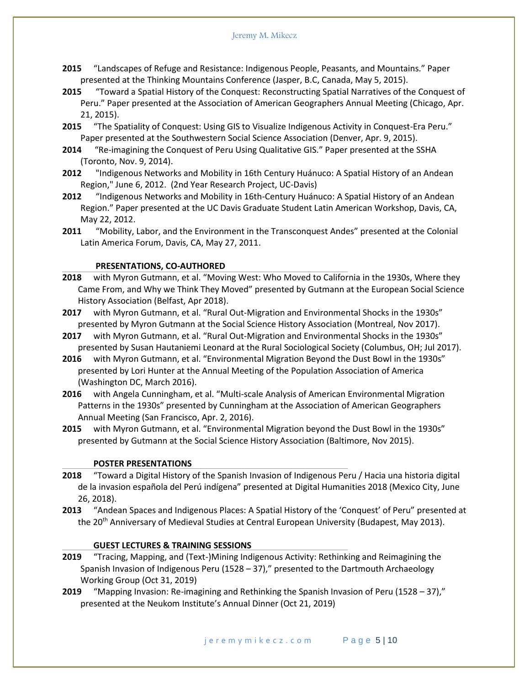#### Jeremy M. Mikecz

- **2015** "Landscapes of Refuge and Resistance: Indigenous People, Peasants, and Mountains." Paper presented at the Thinking Mountains Conference (Jasper, B.C, Canada, May 5, 2015).
- **2015** "Toward a Spatial History of the Conquest: Reconstructing Spatial Narratives of the Conquest of Peru." Paper presented at the Association of American Geographers Annual Meeting (Chicago, Apr. 21, 2015).
- **2015** "The Spatiality of Conquest: Using GIS to Visualize Indigenous Activity in Conquest-Era Peru." Paper presented at the Southwestern Social Science Association (Denver, Apr. 9, 2015).
- **2014** "Re-imagining the Conquest of Peru Using Qualitative GIS." Paper presented at the SSHA (Toronto, Nov. 9, 2014).
- **2012** "Indigenous Networks and Mobility in 16th Century Huánuco: A Spatial History of an Andean Region," June 6, 2012. (2nd Year Research Project, UC-Davis)
- **2012** "Indigenous Networks and Mobility in 16th-Century Huánuco: A Spatial History of an Andean Region." Paper presented at the UC Davis Graduate Student Latin American Workshop, Davis, CA, May 22, 2012.
- **2011** "Mobility, Labor, and the Environment in the Transconquest Andes" presented at the Colonial Latin America Forum, Davis, CA, May 27, 2011.

#### **PRESENTATIONS, CO-AUTHORED**

- **2018** with Myron Gutmann, et al. "Moving West: Who Moved to California in the 1930s, Where they Came From, and Why we Think They Moved" presented by Gutmann at the European Social Science History Association (Belfast, Apr 2018).
- **2017** with Myron Gutmann, et al. "Rural Out-Migration and Environmental Shocks in the 1930s" presented by Myron Gutmann at the Social Science History Association (Montreal, Nov 2017).
- **2017** with Myron Gutmann, et al. "Rural Out-Migration and Environmental Shocks in the 1930s" presented by Susan Hautaniemi Leonard at the Rural Sociological Society (Columbus, OH; Jul 2017).
- **2016** with Myron Gutmann, et al. "Environmental Migration Beyond the Dust Bowl in the 1930s" presented by Lori Hunter at the Annual Meeting of the Population Association of America (Washington DC, March 2016).
- **2016** with Angela Cunningham, et al. "Multi-scale Analysis of American Environmental Migration Patterns in the 1930s" presented by Cunningham at the Association of American Geographers Annual Meeting (San Francisco, Apr. 2, 2016).
- **2015** with Myron Gutmann, et al. "Environmental Migration beyond the Dust Bowl in the 1930s" presented by Gutmann at the Social Science History Association (Baltimore, Nov 2015).

#### **POSTER PRESENTATIONS**

- **2018** "Toward a Digital History of the Spanish Invasion of Indigenous Peru / Hacia una historia digital de la invasion española del Perú indígena" presented at Digital Humanities 2018 (Mexico City, June 26, 2018).
- **2013** "Andean Spaces and Indigenous Places: A Spatial History of the 'Conquest' of Peru" presented at the 20<sup>th</sup> Anniversary of Medieval Studies at Central European University (Budapest, May 2013).

#### **GUEST LECTURES & TRAINING SESSIONS**

- **2019** "Tracing, Mapping, and (Text-)Mining Indigenous Activity: Rethinking and Reimagining the Spanish Invasion of Indigenous Peru (1528 – 37)," presented to the Dartmouth Archaeology Working Group (Oct 31, 2019)
- **2019** "Mapping Invasion: Re-imagining and Rethinking the Spanish Invasion of Peru (1528 37)," presented at the Neukom Institute's Annual Dinner (Oct 21, 2019)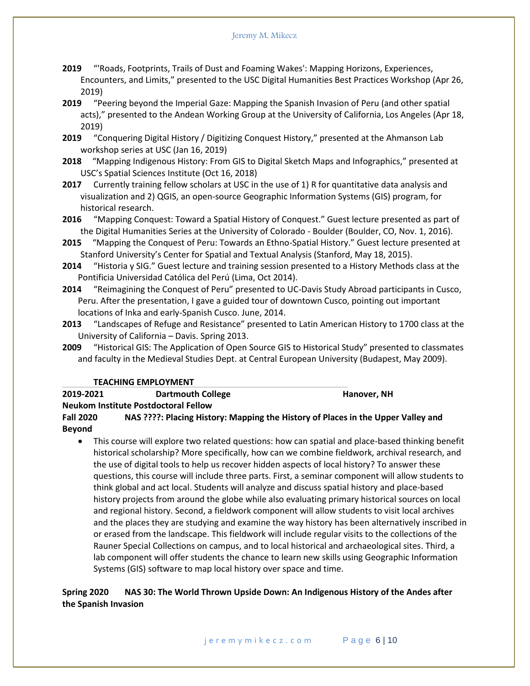- **2019** "'Roads, Footprints, Trails of Dust and Foaming Wakes': Mapping Horizons, Experiences, Encounters, and Limits," presented to the USC Digital Humanities Best Practices Workshop (Apr 26, 2019)
- **2019** "Peering beyond the Imperial Gaze: Mapping the Spanish Invasion of Peru (and other spatial acts)," presented to the Andean Working Group at the University of California, Los Angeles (Apr 18, 2019)
- **2019** "Conquering Digital History / Digitizing Conquest History," presented at the Ahmanson Lab workshop series at USC (Jan 16, 2019)
- **2018** "Mapping Indigenous History: From GIS to Digital Sketch Maps and Infographics," presented at USC's Spatial Sciences Institute (Oct 16, 2018)
- **2017** Currently training fellow scholars at USC in the use of 1) R for quantitative data analysis and visualization and 2) QGIS, an open-source Geographic Information Systems (GIS) program, for historical research.
- **2016** "Mapping Conquest: Toward a Spatial History of Conquest." Guest lecture presented as part of the Digital Humanities Series at the University of Colorado - Boulder (Boulder, CO, Nov. 1, 2016).
- **2015** "Mapping the Conquest of Peru: Towards an Ethno-Spatial History." Guest lecture presented at Stanford University's Center for Spatial and Textual Analysis (Stanford, May 18, 2015).
- **2014** "Historia y SIG." Guest lecture and training session presented to a History Methods class at the Pontificia Universidad Católica del Perú (Lima, Oct 2014).
- **2014** "Reimagining the Conquest of Peru" presented to UC-Davis Study Abroad participants in Cusco, Peru. After the presentation, I gave a guided tour of downtown Cusco, pointing out important locations of Inka and early-Spanish Cusco. June, 2014.
- **2013** "Landscapes of Refuge and Resistance" presented to Latin American History to 1700 class at the University of California – Davis. Spring 2013.
- **2009** "Historical GIS: The Application of Open Source GIS to Historical Study" presented to classmates and faculty in the Medieval Studies Dept. at Central European University (Budapest, May 2009).

#### **TEACHING EMPLOYMENT**

| 2019-2021 |  | <b>Dartmouth College</b> | Hanover, NH |
|-----------|--|--------------------------|-------------|
|           |  |                          |             |

**Neukom Institute Postdoctoral Fellow** 

**Fall 2020 NAS ????: Placing History: Mapping the History of Places in the Upper Valley and Beyond**

 This course will explore two related questions: how can spatial and place-based thinking benefit historical scholarship? More specifically, how can we combine fieldwork, archival research, and the use of digital tools to help us recover hidden aspects of local history? To answer these questions, this course will include three parts. First, a seminar component will allow students to think global and act local. Students will analyze and discuss spatial history and place-based history projects from around the globe while also evaluating primary historical sources on local and regional history. Second, a fieldwork component will allow students to visit local archives and the places they are studying and examine the way history has been alternatively inscribed in or erased from the landscape. This fieldwork will include regular visits to the collections of the Rauner Special Collections on campus, and to local historical and archaeological sites. Third, a lab component will offer students the chance to learn new skills using Geographic Information Systems (GIS) software to map local history over space and time.

## **Spring 2020 NAS 30: The World Thrown Upside Down: An Indigenous History of the Andes after the Spanish Invasion**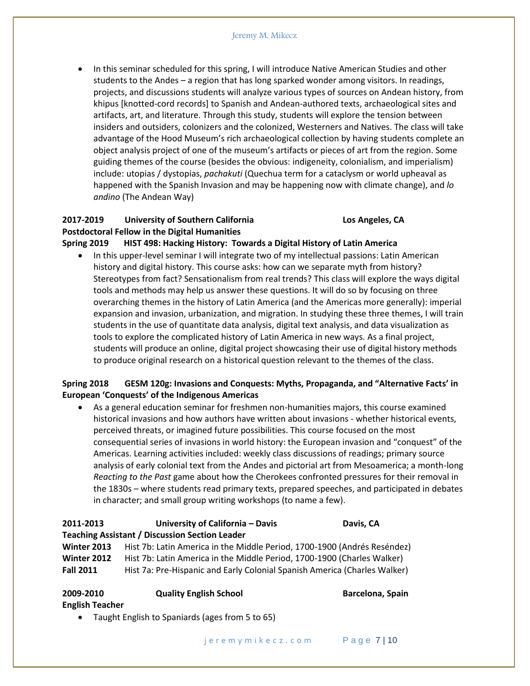In this seminar scheduled for this spring, I will introduce Native American Studies and other students to the Andes – a region that has long sparked wonder among visitors. In readings, projects, and discussions students will analyze various types of sources on Andean history, from khipus [knotted-cord records] to Spanish and Andean-authored texts, archaeological sites and artifacts, art, and literature. Through this study, students will explore the tension between insiders and outsiders, colonizers and the colonized, Westerners and Natives. The class will take advantage of the Hood Museum's rich archaeological collection by having students complete an object analysis project of one of the museum's artifacts or pieces of art from the region. Some guiding themes of the course (besides the obvious: indigeneity, colonialism, and imperialism) include: utopias / dystopias, *pachakuti* (Quechua term for a cataclysm or world upheaval as happened with the Spanish Invasion and may be happening now with climate change), and *lo andino* (The Andean Way)

## **2017-2019 University of Southern California Los Angeles, CA Postdoctoral Fellow in the Digital Humanities Spring 2019 HIST 498: Hacking History: Towards a Digital History of Latin America**

 In this upper-level seminar I will integrate two of my intellectual passions: Latin American history and digital history. This course asks: how can we separate myth from history? Stereotypes from fact? Sensationalism from real trends? This class will explore the ways digital tools and methods may help us answer these questions. It will do so by focusing on three overarching themes in the history of Latin America (and the Americas more generally): imperial expansion and invasion, urbanization, and migration. In studying these three themes, I will train students in the use of quantitate data analysis, digital text analysis, and data visualization as tools to explore the complicated history of Latin America in new ways. As a final project, students will produce an online, digital project showcasing their use of digital history methods to produce original research on a historical question relevant to the themes of the class.

## **Spring 2018 GESM 120g: Invasions and Conquests: Myths, Propaganda, and "Alternative Facts' in European 'Conquests' of the Indigenous Americas**

 As a general education seminar for freshmen non-humanities majors, this course examined historical invasions and how authors have written about invasions - whether historical events, perceived threats, or imagined future possibilities. This course focused on the most consequential series of invasions in world history: the European invasion and "conquest" of the Americas. Learning activities included: weekly class discussions of readings; primary source analysis of early colonial text from the Andes and pictorial art from Mesoamerica; a month-long *Reacting to the Past* game about how the Cherokees confronted pressures for their removal in the 1830s – where students read primary texts, prepared speeches, and participated in debates in character; and small group writing workshops (to name a few).

## **2011-2013 University of California – Davis Davis, CA Teaching Assistant / Discussion Section Leader Winter 2013** Hist 7b: Latin America in the Middle Period, 1700-1900 (Andrés Reséndez) **Winter 2012** Hist 7b: Latin America in the Middle Period, 1700-1900 (Charles Walker) **Fall 2011** Hist 7a: Pre-Hispanic and Early Colonial Spanish America (Charles Walker)

| 2009-2010                                       | <b>Quality English School</b> | Barcelona, Spain |  |  |  |  |
|-------------------------------------------------|-------------------------------|------------------|--|--|--|--|
| <b>English Teacher</b>                          |                               |                  |  |  |  |  |
| Taught English to Spaniards (ages from 5 to 65) |                               |                  |  |  |  |  |

j e r e m y m i k e c z . c o m P a g e 7 | 10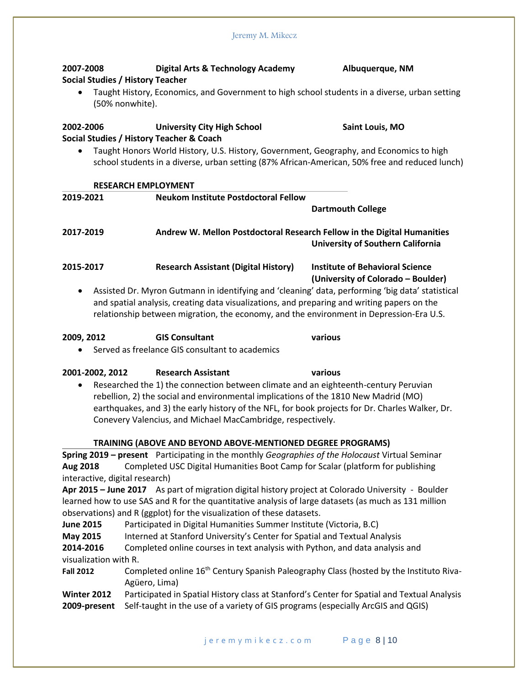| 2007-2008                                                                                                                                                                                      | <b>Digital Arts &amp; Technology Academy</b>                                                                                                                                    | Albuquerque, NM                                                                                      |  |  |  |
|------------------------------------------------------------------------------------------------------------------------------------------------------------------------------------------------|---------------------------------------------------------------------------------------------------------------------------------------------------------------------------------|------------------------------------------------------------------------------------------------------|--|--|--|
|                                                                                                                                                                                                | Social Studies / History Teacher                                                                                                                                                |                                                                                                      |  |  |  |
|                                                                                                                                                                                                |                                                                                                                                                                                 | Taught History, Economics, and Government to high school students in a diverse, urban setting        |  |  |  |
|                                                                                                                                                                                                | (50% nonwhite).                                                                                                                                                                 |                                                                                                      |  |  |  |
| 2002-2006                                                                                                                                                                                      | <b>University City High School</b>                                                                                                                                              | Saint Louis, MO                                                                                      |  |  |  |
|                                                                                                                                                                                                | Social Studies / History Teacher & Coach                                                                                                                                        |                                                                                                      |  |  |  |
| Taught Honors World History, U.S. History, Government, Geography, and Economics to high<br>٠<br>school students in a diverse, urban setting (87% African-American, 50% free and reduced lunch) |                                                                                                                                                                                 |                                                                                                      |  |  |  |
|                                                                                                                                                                                                | <b>RESEARCH EMPLOYMENT</b>                                                                                                                                                      |                                                                                                      |  |  |  |
| 2019-2021                                                                                                                                                                                      | <b>Neukom Institute Postdoctoral Fellow</b>                                                                                                                                     |                                                                                                      |  |  |  |
|                                                                                                                                                                                                |                                                                                                                                                                                 | <b>Dartmouth College</b>                                                                             |  |  |  |
| 2017-2019                                                                                                                                                                                      |                                                                                                                                                                                 | Andrew W. Mellon Postdoctoral Research Fellow in the Digital Humanities                              |  |  |  |
|                                                                                                                                                                                                |                                                                                                                                                                                 | <b>University of Southern California</b>                                                             |  |  |  |
|                                                                                                                                                                                                |                                                                                                                                                                                 |                                                                                                      |  |  |  |
| 2015-2017                                                                                                                                                                                      | <b>Research Assistant (Digital History)</b>                                                                                                                                     | <b>Institute of Behavioral Science</b>                                                               |  |  |  |
|                                                                                                                                                                                                |                                                                                                                                                                                 | (University of Colorado - Boulder)                                                                   |  |  |  |
| ٠                                                                                                                                                                                              |                                                                                                                                                                                 | Assisted Dr. Myron Gutmann in identifying and 'cleaning' data, performing 'big data' statistical     |  |  |  |
|                                                                                                                                                                                                |                                                                                                                                                                                 | and spatial analysis, creating data visualizations, and preparing and writing papers on the          |  |  |  |
|                                                                                                                                                                                                |                                                                                                                                                                                 | relationship between migration, the economy, and the environment in Depression-Era U.S.              |  |  |  |
| 2009, 2012                                                                                                                                                                                     | <b>GIS Consultant</b>                                                                                                                                                           | various                                                                                              |  |  |  |
|                                                                                                                                                                                                | Served as freelance GIS consultant to academics                                                                                                                                 |                                                                                                      |  |  |  |
| 2001-2002, 2012                                                                                                                                                                                | <b>Research Assistant</b>                                                                                                                                                       | various                                                                                              |  |  |  |
| $\bullet$                                                                                                                                                                                      | Researched the 1) the connection between climate and an eighteenth-century Peruvian                                                                                             |                                                                                                      |  |  |  |
|                                                                                                                                                                                                | rebellion, 2) the social and environmental implications of the 1810 New Madrid (MO)                                                                                             |                                                                                                      |  |  |  |
|                                                                                                                                                                                                |                                                                                                                                                                                 | earthquakes, and 3) the early history of the NFL, for book projects for Dr. Charles Walker, Dr.      |  |  |  |
|                                                                                                                                                                                                | Conevery Valencius, and Michael MacCambridge, respectively.                                                                                                                     |                                                                                                      |  |  |  |
|                                                                                                                                                                                                |                                                                                                                                                                                 |                                                                                                      |  |  |  |
|                                                                                                                                                                                                | TRAINING (ABOVE AND BEYOND ABOVE-MENTIONED DEGREE PROGRAMS)                                                                                                                     |                                                                                                      |  |  |  |
|                                                                                                                                                                                                |                                                                                                                                                                                 | Spring 2019 - present Participating in the monthly Geographies of the Holocaust Virtual Seminar      |  |  |  |
| Aug 2018<br>interactive, digital research)                                                                                                                                                     |                                                                                                                                                                                 | Completed USC Digital Humanities Boot Camp for Scalar (platform for publishing                       |  |  |  |
|                                                                                                                                                                                                |                                                                                                                                                                                 | Apr 2015 - June 2017 As part of migration digital history project at Colorado University - Boulder   |  |  |  |
|                                                                                                                                                                                                |                                                                                                                                                                                 | learned how to use SAS and R for the quantitative analysis of large datasets (as much as 131 million |  |  |  |
| observations) and R (ggplot) for the visualization of these datasets.                                                                                                                          |                                                                                                                                                                                 |                                                                                                      |  |  |  |
| <b>June 2015</b>                                                                                                                                                                               | Participated in Digital Humanities Summer Institute (Victoria, B.C)                                                                                                             |                                                                                                      |  |  |  |
| <b>May 2015</b>                                                                                                                                                                                | Interned at Stanford University's Center for Spatial and Textual Analysis                                                                                                       |                                                                                                      |  |  |  |
| 2014-2016<br>Completed online courses in text analysis with Python, and data analysis and                                                                                                      |                                                                                                                                                                                 |                                                                                                      |  |  |  |
| visualization with R.                                                                                                                                                                          |                                                                                                                                                                                 |                                                                                                      |  |  |  |
| <b>Fall 2012</b>                                                                                                                                                                               |                                                                                                                                                                                 | Completed online 16 <sup>th</sup> Century Spanish Paleography Class (hosted by the Instituto Riva-   |  |  |  |
|                                                                                                                                                                                                | Agüero, Lima)                                                                                                                                                                   |                                                                                                      |  |  |  |
| Winter 2012                                                                                                                                                                                    | Participated in Spatial History class at Stanford's Center for Spatial and Textual Analysis<br>Self-taught in the use of a variety of GIS programs (especially ArcGIS and QGIS) |                                                                                                      |  |  |  |
| 2009-present                                                                                                                                                                                   |                                                                                                                                                                                 |                                                                                                      |  |  |  |

Jeremy M. Mikecz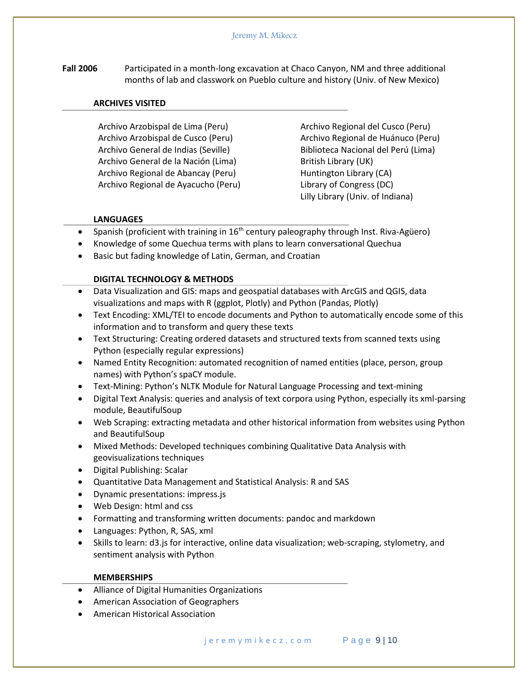**Fall 2006** Participated in a month-long excavation at Chaco Canyon, NM and three additional months of lab and classwork on Pueblo culture and history (Univ. of New Mexico)

#### **ARCHIVES VISITED**

Archivo Arzobispal de Lima (Peru) Archivo Arzobispal de Cusco (Peru) Archivo General de Indias (Seville) Archivo General de la Nación (Lima) Archivo Regional de Abancay (Peru) Archivo Regional de Ayacucho (Peru) Archivo Regional del Cusco (Peru) Archivo Regional de Huánuco (Peru) Biblioteca Nacional del Perú (Lima) British Library (UK) Huntington Library (CA) Library of Congress (DC) Lilly Library (Univ. of Indiana)

#### **LANGUAGES**

- **Spanish (proficient with training in 16<sup>th</sup> century paleography through Inst. Riva-Agüero)**
- Knowledge of some Quechua terms with plans to learn conversational Quechua
- Basic but fading knowledge of Latin, German, and Croatian

#### **DIGITAL TECHNOLOGY & METHODS**

- Data Visualization and GIS: maps and geospatial databases with ArcGIS and QGIS, data visualizations and maps with R (ggplot, Plotly) and Python (Pandas, Plotly)
- Text Encoding: XML/TEI to encode documents and Python to automatically encode some of this information and to transform and query these texts
- Text Structuring: Creating ordered datasets and structured texts from scanned texts using Python (especially regular expressions)
- Named Entity Recognition: automated recognition of named entities (place, person, group names) with Python's spaCY module.
- Text-Mining: Python's NLTK Module for Natural Language Processing and text-mining
- Digital Text Analysis: queries and analysis of text corpora using Python, especially its xml-parsing module, BeautifulSoup
- Web Scraping: extracting metadata and other historical information from websites using Python and BeautifulSoup
- Mixed Methods: Developed techniques combining Qualitative Data Analysis with geovisualizations techniques
- Digital Publishing: Scalar
- Quantitative Data Management and Statistical Analysis: R and SAS
- Dynamic presentations: impress.js
- Web Design: html and css
- Formatting and transforming written documents: pandoc and markdown
- Languages: Python, R, SAS, xml
- Skills to learn: d3.js for interactive, online data visualization; web-scraping, stylometry, and sentiment analysis with Python

#### **MEMBERSHIPS**

- Alliance of Digital Humanities Organizations
- American Association of Geographers
- American Historical Association

j e r e m y m i k e c z . c o m P a g e 9 | 10